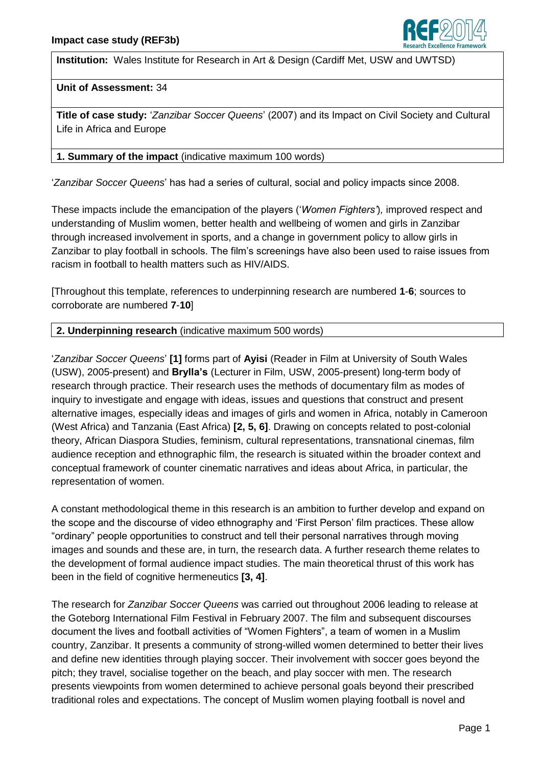

**Institution:** Wales Institute for Research in Art & Design (Cardiff Met, USW and UWTSD)

# **Unit of Assessment:** 34

**Title of case study:** "*Zanzibar Soccer Queens*" (2007) and its Impact on Civil Society and Cultural Life in Africa and Europe

# **1. Summary of the impact** (indicative maximum 100 words)

"*Zanzibar Soccer Queens*" has had a series of cultural, social and policy impacts since 2008.

These impacts include the emancipation of the players ("*Women Fighters'*)*,* improved respect and understanding of Muslim women, better health and wellbeing of women and girls in Zanzibar through increased involvement in sports, and a change in government policy to allow girls in Zanzibar to play football in schools. The film"s screenings have also been used to raise issues from racism in football to health matters such as HIV/AIDS.

[Throughout this template, references to underpinning research are numbered **1**-**6**; sources to corroborate are numbered **7**-**10**]

# **2. Underpinning research** (indicative maximum 500 words)

"*Zanzibar Soccer Queens*" **[1]** forms part of **Ayisi** (Reader in Film at University of South Wales (USW), 2005-present) and **Brylla's** (Lecturer in Film, USW, 2005-present) long-term body of research through practice. Their research uses the methods of documentary film as modes of inquiry to investigate and engage with ideas, issues and questions that construct and present alternative images, especially ideas and images of girls and women in Africa, notably in Cameroon (West Africa) and Tanzania (East Africa) **[2, 5, 6]**. Drawing on concepts related to post-colonial theory, African Diaspora Studies, feminism, cultural representations, transnational cinemas, film audience reception and ethnographic film, the research is situated within the broader context and conceptual framework of counter cinematic narratives and ideas about Africa, in particular, the representation of women.

A constant methodological theme in this research is an ambition to further develop and expand on the scope and the discourse of video ethnography and "First Person" film practices. These allow "ordinary" people opportunities to construct and tell their personal narratives through moving images and sounds and these are, in turn, the research data. A further research theme relates to the development of formal audience impact studies. The main theoretical thrust of this work has been in the field of cognitive hermeneutics **[3, 4]**.

The research for *Zanzibar Soccer Queens* was carried out throughout 2006 leading to release at the Goteborg International Film Festival in February 2007. The film and subsequent discourses document the lives and football activities of "Women Fighters", a team of women in a Muslim country, Zanzibar. It presents a community of strong-willed women determined to better their lives and define new identities through playing soccer. Their involvement with soccer goes beyond the pitch; they travel, socialise together on the beach, and play soccer with men. The research presents viewpoints from women determined to achieve personal goals beyond their prescribed traditional roles and expectations. The concept of Muslim women playing football is novel and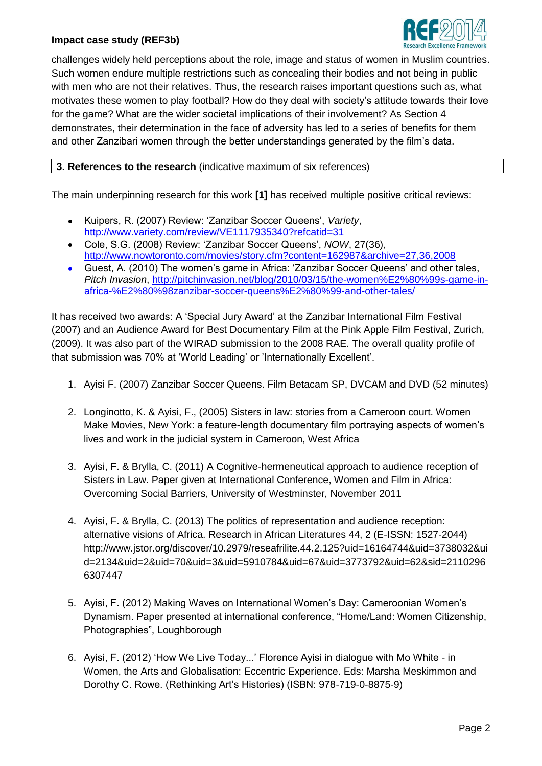# **Impact case study (REF3b)**



challenges widely held perceptions about the role, image and status of women in Muslim countries. Such women endure multiple restrictions such as concealing their bodies and not being in public with men who are not their relatives. Thus, the research raises important questions such as, what motivates these women to play football? How do they deal with society"s attitude towards their love for the game? What are the wider societal implications of their involvement? As Section 4 demonstrates, their determination in the face of adversity has led to a series of benefits for them and other Zanzibari women through the better understandings generated by the film"s data.

**3. References to the research** (indicative maximum of six references)

The main underpinning research for this work **[1]** has received multiple positive critical reviews:

- Kuipers, R. (2007) Review: "Zanzibar Soccer Queens", *Variety*,  $\bullet$ <http://www.variety.com/review/VE1117935340?refcatid=31>
- Cole, S.G. (2008) Review: "Zanzibar Soccer Queens", *NOW*, 27(36), <http://www.nowtoronto.com/movies/story.cfm?content=162987&archive=27,36,2008>
- Guest, A. (2010) The women"s game in Africa: "Zanzibar Soccer Queens" and other tales,  $\bullet$ *Pitch Invasion*, [http://pitchinvasion.net/blog/2010/03/15/the-women%E2%80%99s-game-in](http://pitchinvasion.net/blog/2010/03/15/the-women%E2%80%99s-game-in-africa-%E2%80%98zanzibar-soccer-queens%E2%80%99-and-other-tales/)[africa-%E2%80%98zanzibar-soccer-queens%E2%80%99-and-other-tales/](http://pitchinvasion.net/blog/2010/03/15/the-women%E2%80%99s-game-in-africa-%E2%80%98zanzibar-soccer-queens%E2%80%99-and-other-tales/)

It has received two awards: A "Special Jury Award" at the Zanzibar International Film Festival (2007) and an Audience Award for Best Documentary Film at the Pink Apple Film Festival, Zurich, (2009). It was also part of the WIRAD submission to the 2008 RAE. The overall quality profile of that submission was 70% at "World Leading" or "Internationally Excellent".

- 1. Ayisi F. (2007) Zanzibar Soccer Queens. Film Betacam SP, DVCAM and DVD (52 minutes)
- 2. Longinotto, K. & Ayisi, F., (2005) Sisters in law: stories from a Cameroon court. Women Make Movies, New York: a feature-length documentary film portraying aspects of women"s lives and work in the judicial system in Cameroon, West Africa
- 3. Ayisi, F. & Brylla, C. (2011) A Cognitive-hermeneutical approach to audience reception of Sisters in Law. Paper given at International Conference, Women and Film in Africa: Overcoming Social Barriers, University of Westminster, November 2011
- 4. Ayisi, F. & Brylla, C. (2013) The politics of representation and audience reception: alternative visions of Africa. Research in African Literatures 44, 2 (E-ISSN: 1527-2044) http://www.jstor.org/discover/10.2979/reseafrilite.44.2.125?uid=16164744&uid=3738032&ui d=2134&uid=2&uid=70&uid=3&uid=5910784&uid=67&uid=3773792&uid=62&sid=2110296 6307447
- 5. Ayisi, F. (2012) Making Waves on International Women"s Day: Cameroonian Women"s Dynamism. Paper presented at international conference, "Home/Land: Women Citizenship, Photographies", Loughborough
- 6. Ayisi, F. (2012) "How We Live Today..." Florence Ayisi in dialogue with Mo White in Women, the Arts and Globalisation: Eccentric Experience. Eds: Marsha Meskimmon and Dorothy C. Rowe. (Rethinking Art"s Histories) (ISBN: 978-719-0-8875-9)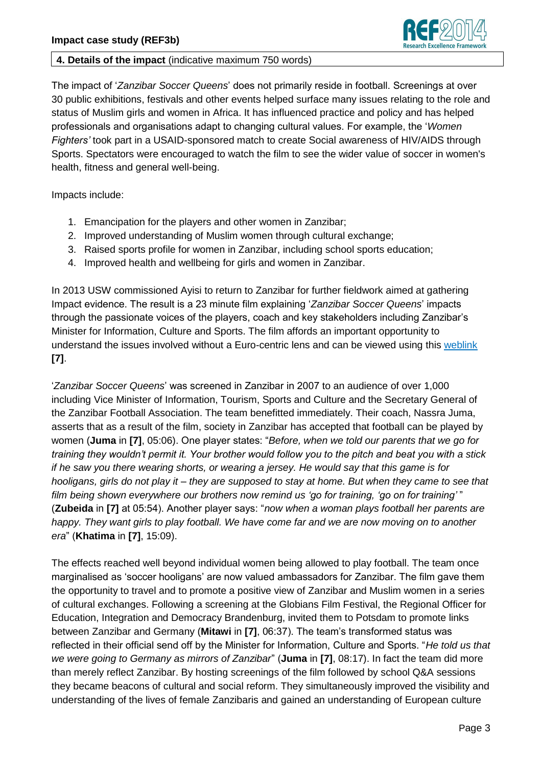

#### **4. Details of the impact** (indicative maximum 750 words)

The impact of "*Zanzibar Soccer Queens*" does not primarily reside in football. Screenings at over 30 public exhibitions, festivals and other events helped surface many issues relating to the role and status of Muslim girls and women in Africa. It has influenced practice and policy and has helped professionals and organisations adapt to changing cultural values. For example, the "*Women Fighters'* took part in a USAID-sponsored match to create Social awareness of HIV/AIDS through Sports. Spectators were encouraged to watch the film to see the wider value of soccer in women's health, fitness and general well-being.

Impacts include:

- 1. Emancipation for the players and other women in Zanzibar;
- 2. Improved understanding of Muslim women through cultural exchange;
- 3. Raised sports profile for women in Zanzibar, including school sports education;
- 4. Improved health and wellbeing for girls and women in Zanzibar.

In 2013 USW commissioned Ayisi to return to Zanzibar for further fieldwork aimed at gathering Impact evidence. The result is a 23 minute film explaining "*Zanzibar Soccer Queens*" impacts through the passionate voices of the players, coach and key stakeholders including Zanzibar"s Minister for Information, Culture and Sports. The film affords an important opportunity to understand the issues involved without a Euro-centric lens and can be viewed using this [weblink](https://www.dropbox.com/s/kwix9zo06j6p5y8/ZSQ_Impact%20Study.mov) **[7]**.

"*Zanzibar Soccer Queens*" was screened in Zanzibar in 2007 to an audience of over 1,000 including Vice Minister of Information, Tourism, Sports and Culture and the Secretary General of the Zanzibar Football Association. The team benefitted immediately. Their coach, Nassra Juma, asserts that as a result of the film, society in Zanzibar has accepted that football can be played by women (**Juma** in **[7]**, 05:06). One player states: "*Before, when we told our parents that we go for training they wouldn't permit it. Your brother would follow you to the pitch and beat you with a stick if he saw you there wearing shorts, or wearing a jersey. He would say that this game is for hooligans, girls do not play it – they are supposed to stay at home. But when they came to see that film being shown everywhere our brothers now remind us 'go for training, 'go on for training'* " (**Zubeida** in **[7]** at 05:54). Another player says: "*now when a woman plays football her parents are happy. They want girls to play football. We have come far and we are now moving on to another era*" (**Khatima** in **[7]**, 15:09).

The effects reached well beyond individual women being allowed to play football. The team once marginalised as "soccer hooligans" are now valued ambassadors for Zanzibar. The film gave them the opportunity to travel and to promote a positive view of Zanzibar and Muslim women in a series of cultural exchanges. Following a screening at the Globians Film Festival, the Regional Officer for Education, Integration and Democracy Brandenburg, invited them to Potsdam to promote links between Zanzibar and Germany (**Mitawi** in **[7]**, 06:37). The team"s transformed status was reflected in their official send off by the Minister for Information, Culture and Sports. "*He told us that we were going to Germany as mirrors of Zanzibar*" (**Juma** in **[7]**, 08:17). In fact the team did more than merely reflect Zanzibar. By hosting screenings of the film followed by school Q&A sessions they became beacons of cultural and social reform. They simultaneously improved the visibility and understanding of the lives of female Zanzibaris and gained an understanding of European culture